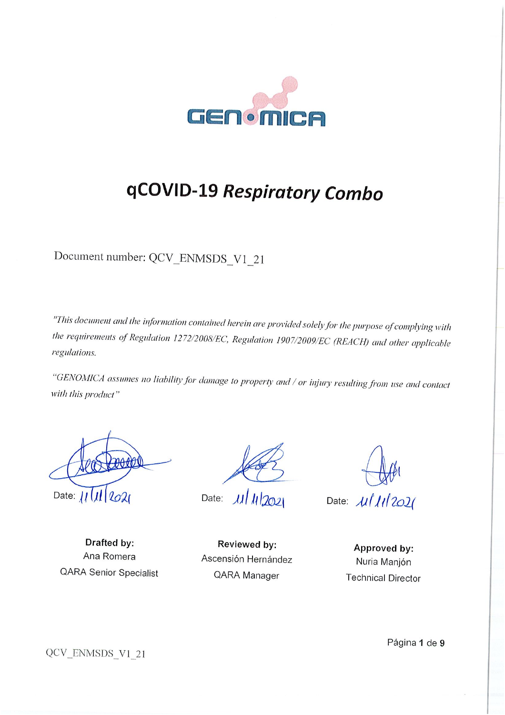

# qCOVID-19 Respiratory Combo

Document number: QCV\_ENMSDS\_V1\_21

"This document and the information contained herein are provided solely for the purpose of complying with the requirements of Regulation 1272/2008/EC, Regulation 1907/2009/EC (REACH) and other applicable regulations.

"GENOMICA assumes no liability for damage to property and / or injury resulting from use and contact with this product"

Date:  $|| \, || \, ||$   $| \, | \, | \, |$ 

 $\mu$   $\mu$   $\mu$   $\infty$ Date:

Date:  $\mu$ / $\mu$ /2021

Drafted by: Ana Romera **QARA Senior Specialist** 

Reviewed by: Ascensión Hernández QARA Manager

Approved by: Nuria Manjón **Technical Director** 

Página 1 de 9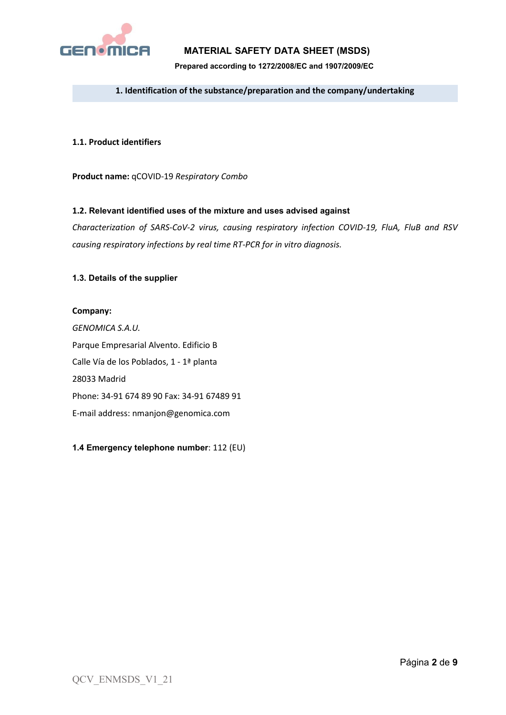

# **MATERIAL SAFETY DATA SHEET (MSDS)**

**Prepared according to 1272/2008/EC and 1907/2009/EC**

#### **1. Identification of the substance/preparation and the company/undertaking**

#### **1.1. Product identifiers**

**Product name:** qCOVID-19 *Respiratory Combo*

#### **1.2. Relevant identified uses of the mixture and uses advised against**

*Characterization of SARS-CoV-2 virus, causing respiratory infection COVID-19, FluA, FluB and RSV causing respiratory infections by real time RT-PCR for in vitro diagnosis.*

#### **1.3. Details of the supplier**

#### **Company:**

*GENOMICA S.A.U.* Parque Empresarial Alvento. Edificio B Calle Vía de los Poblados, 1 - 1ª planta 28033 Madrid Phone: 34-91 674 89 90 Fax: 34-91 67489 91 E-mail address: nmanjon@genomica.com

**1.4 Emergency telephone number**: 112 (EU)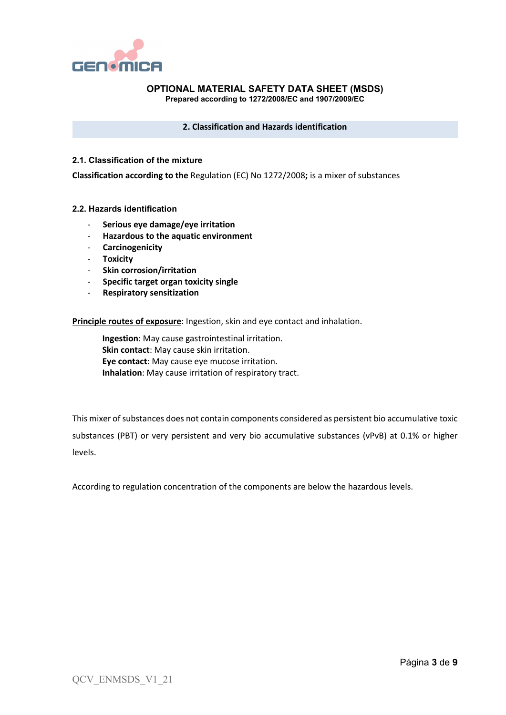

#### **2. Classification and Hazards identification**

#### **2.1. Classification of the mixture**

**Classification according to the** Regulation (EC) No 1272/2008**;** is a mixer of substances

#### **2.2. Hazards identification**

- **Serious eye damage/eye irritation**
- **Hazardous to the aquatic environment**
- **Carcinogenicity**
- **Toxicity**
- **Skin corrosion/irritation**
- **Specific target organ toxicity single**
- **Respiratory sensitization**

**Principle routes of exposure**: Ingestion, skin and eye contact and inhalation.

**Ingestion**: May cause gastrointestinal irritation. **Skin contact**: May cause skin irritation. **Eye contact**: May cause eye mucose irritation. **Inhalation**: May cause irritation of respiratory tract.

This mixer of substances does not contain components considered as persistent bio accumulative toxic substances (PBT) or very persistent and very bio accumulative substances (vPvB) at 0.1% or higher levels.

According to regulation concentration of the components are below the hazardous levels.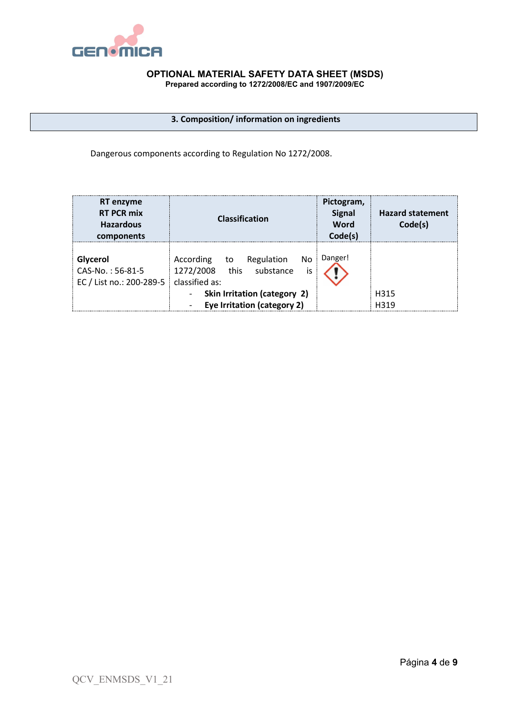

# **3. Composition/ information on ingredients**

Dangerous components according to Regulation No 1272/2008.

| <b>RT</b> enzyme<br><b>RT PCR mix</b><br><b>Hazardous</b><br>components | <b>Classification</b>                                                                    | Pictogram,<br><b>Signal</b><br>Word<br>Code(s) | <b>Hazard statement</b><br>Code(s) |
|-------------------------------------------------------------------------|------------------------------------------------------------------------------------------|------------------------------------------------|------------------------------------|
| Glycerol<br>CAS-No.: 56-81-5<br>EC / List no.: 200-289-5                | According<br>Regulation<br>No.<br>to<br>1272/2008 this substance<br>is<br>classified as: | Danger!                                        |                                    |
|                                                                         | Skin Irritation (category 2)                                                             |                                                | H315                               |
|                                                                         | Eye Irritation (category 2)                                                              |                                                | H319                               |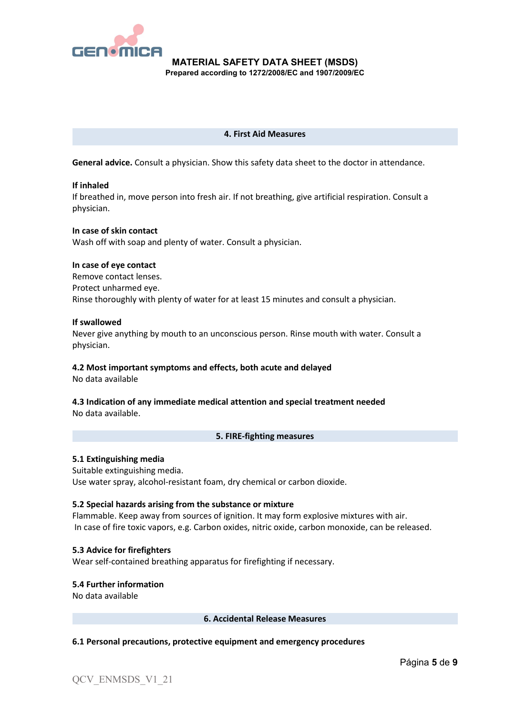

#### **4. First Aid Measures**

**General advice.** Consult a physician. Show this safety data sheet to the doctor in attendance.

#### **If inhaled**

If breathed in, move person into fresh air. If not breathing, give artificial respiration. Consult a physician.

#### **In case of skin contact**

Wash off with soap and plenty of water. Consult a physician.

#### **In case of eye contact**

Remove contact lenses. Protect unharmed eye. Rinse thoroughly with plenty of water for at least 15 minutes and consult a physician.

#### **If swallowed**

Never give anything by mouth to an unconscious person. Rinse mouth with water. Consult a physician.

#### **4.2 Most important symptoms and effects, both acute and delayed**

No data available

#### **4.3 Indication of any immediate medical attention and special treatment needed** No data available.

#### **5. FIRE-fighting measures**

#### **5.1 Extinguishing media**

Suitable extinguishing media. Use water spray, alcohol-resistant foam, dry chemical or carbon dioxide.

#### **5.2 Special hazards arising from the substance or mixture**

Flammable. Keep away from sources of ignition. It may form explosive mixtures with air. In case of fire toxic vapors, e.g. Carbon oxides, nitric oxide, carbon monoxide, can be released.

**5.3 Advice for firefighters** Wear self-contained breathing apparatus for firefighting if necessary.

**5.4 Further information** No data available

**6. Accidental Release Measures**

#### **6.1 Personal precautions, protective equipment and emergency procedures**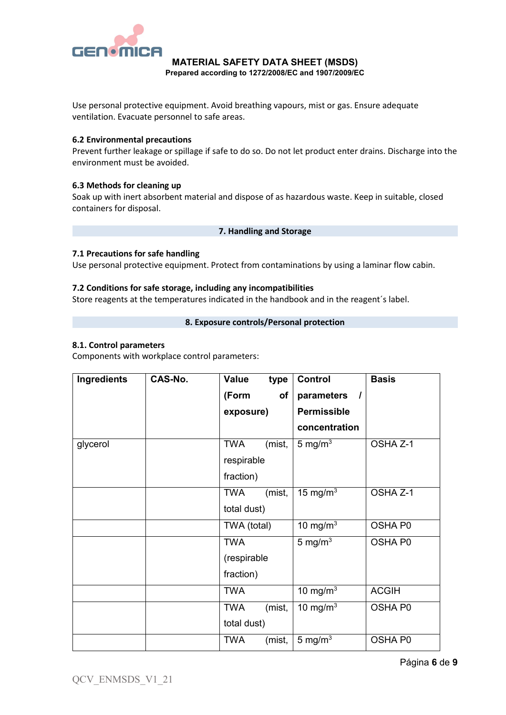

Use personal protective equipment. Avoid breathing vapours, mist or gas. Ensure adequate ventilation. Evacuate personnel to safe areas.

#### **6.2 Environmental precautions**

Prevent further leakage or spillage if safe to do so. Do not let product enter drains. Discharge into the environment must be avoided.

#### **6.3 Methods for cleaning up**

Soak up with inert absorbent material and dispose of as hazardous waste. Keep in suitable, closed containers for disposal.

#### **7. Handling and Storage**

#### **7.1 Precautions for safe handling**

Use personal protective equipment. Protect from contaminations by using a laminar flow cabin.

#### **7.2 Conditions for safe storage, including any incompatibilities**

Store reagents at the temperatures indicated in the handbook and in the reagent´s label.

#### **8. Exposure controls/Personal protection**

#### **8.1. Control parameters**

Components with workplace control parameters:

| Ingredients | CAS-No. | Value       | type   | <b>Control</b>                         | <b>Basis</b> |
|-------------|---------|-------------|--------|----------------------------------------|--------------|
|             |         | (Form       | of     | parameters<br>$\overline{\phantom{a}}$ |              |
|             |         | exposure)   |        | <b>Permissible</b>                     |              |
|             |         |             |        | concentration                          |              |
| glycerol    |         | <b>TWA</b>  | (mist, | $5 \text{ mg/m}^3$                     | OSHA Z-1     |
|             |         | respirable  |        |                                        |              |
|             |         | fraction)   |        |                                        |              |
|             |         | <b>TWA</b>  | (mist, | 15 mg/m $3$                            | OSHA Z-1     |
|             |         | total dust) |        |                                        |              |
|             |         | TWA (total) |        | 10 mg/m $3$                            | OSHA P0      |
|             |         | <b>TWA</b>  |        | 5 mg/ $m3$                             | OSHA P0      |
|             |         | (respirable |        |                                        |              |
|             |         | fraction)   |        |                                        |              |
|             |         | <b>TWA</b>  |        | 10 mg/m $3$                            | <b>ACGIH</b> |
|             |         | <b>TWA</b>  | (mist, | 10 mg/m $3$                            | OSHA P0      |
|             |         | total dust) |        |                                        |              |
|             |         | <b>TWA</b>  | (mist, | 5 mg/ $m3$                             | OSHA P0      |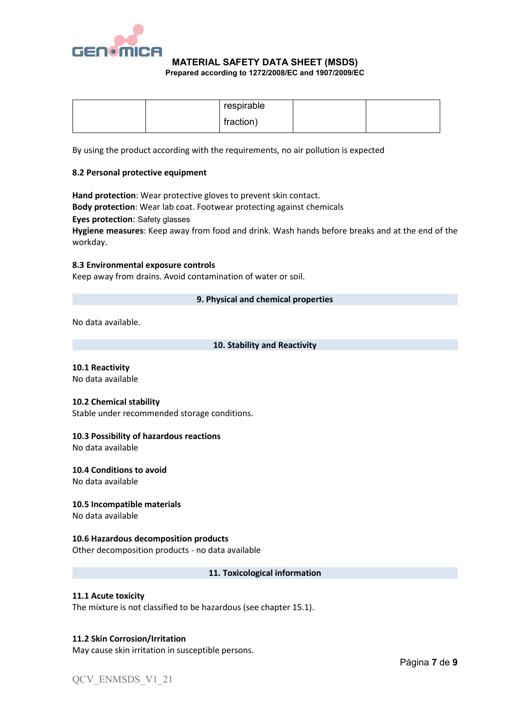

# **MATERIAL SAFETY DATA SHEET (MSDS)**

**Prepared according to 1272/2008/EC and 1907/2009/EC**

|  | respirable |  |
|--|------------|--|
|  | fraction)  |  |

By using the product according with the requirements, no air pollution is expected

#### **8.2 Personal protective equipment**

**Hand protection**: Wear protective gloves to prevent skin contact. **Body protection**: Wear lab coat. Footwear protecting against chemicals **Eyes protection**: Safety glasses **Hygiene measures**: Keep away from food and drink. Wash hands before breaks and at the end of the

#### **8.3 Environmental exposure controls**

Keep away from drains. Avoid contamination of water or soil.

#### **9. Physical and chemical properties**

No data available.

workday.

#### **10. Stability and Reactivity**

# **10.1 Reactivity**

No data available

#### **10.2 Chemical stability**

Stable under recommended storage conditions.

#### **10.3 Possibility of hazardous reactions**

No data available

#### **10.4 Conditions to avoid**

No data available

#### **10.5 Incompatible materials**

No data available

#### **10.6 Hazardous decomposition products**

Other decomposition products - no data available

#### **11. Toxicological information**

#### **11.1 Acute toxicity**

The mixture is not classified to be hazardous (see chapter 15.1).

#### **11.2 Skin Corrosion/Irritation**

May cause skin irritation in susceptible persons.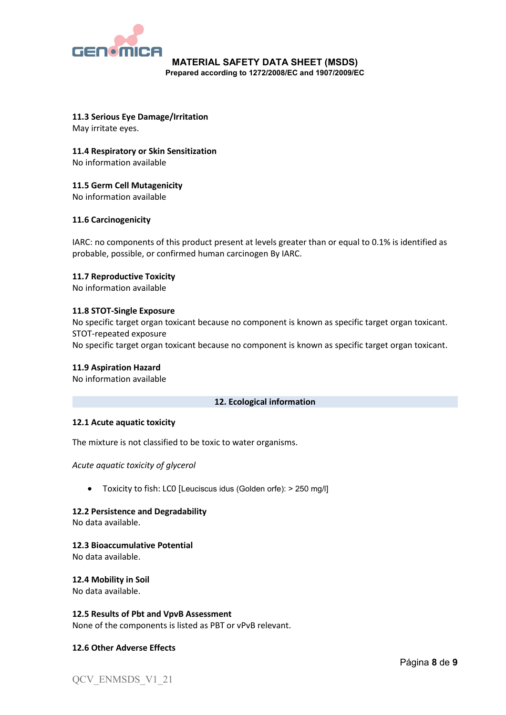

**11.3 Serious Eye Damage/Irritation** May irritate eyes.

**11.4 Respiratory or Skin Sensitization**

No information available

**11.5 Germ Cell Mutagenicity**

No information available

# **11.6 Carcinogenicity**

IARC: no components of this product present at levels greater than or equal to 0.1% is identified as probable, possible, or confirmed human carcinogen By IARC.

# **11.7 Reproductive Toxicity**

No information available

#### **11.8 STOT-Single Exposure**

No specific target organ toxicant because no component is known as specific target organ toxicant. STOT-repeated exposure No specific target organ toxicant because no component is known as specific target organ toxicant.

#### **11.9 Aspiration Hazard**

No information available

#### **12. Ecological information**

# **12.1 Acute aquatic toxicity**

The mixture is not classified to be toxic to water organisms.

*Acute aquatic toxicity of glycerol*

• Toxicity to fish: LC0 [Leuciscus idus (Golden orfe): > 250 mg/l]

#### **12.2 Persistence and Degradability**

No data available.

#### **12.3 Bioaccumulative Potential**

No data available.

#### **12.4 Mobility in Soil**

No data available.

#### **12.5 Results of Pbt and VpvB Assessment**

None of the components is listed as PBT or vPvB relevant.

# **12.6 Other Adverse Effects**